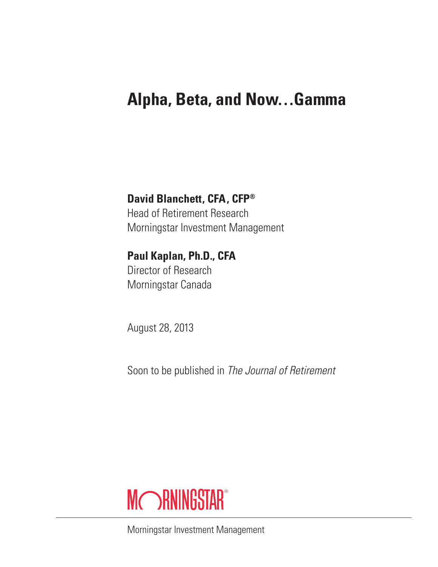# **Alpha, Beta, and Now…Gamma**

## **David Blanchett, CFA, CFP®**

Head of Retirement Research Morningstar Investment Management

## **Paul Kaplan, Ph.D., CFA**

Director of Research Morningstar Canada

August 28, 2013

Soon to be published in *The Journal of Retirement*



Morningstar Investment Management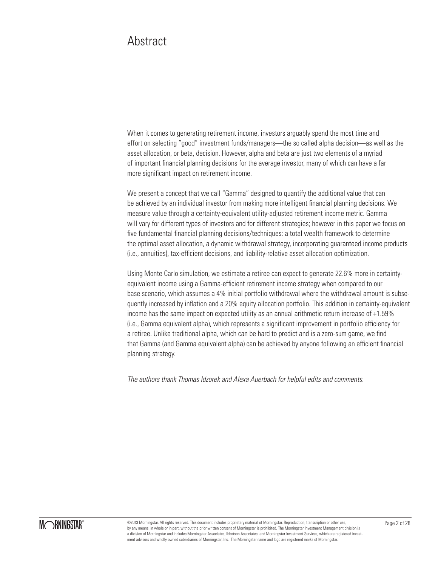## Abstract

When it comes to generating retirement income, investors arguably spend the most time and effort on selecting "good" investment funds/managers—the so called alpha decision—as well as the asset allocation, or beta, decision. However, alpha and beta are just two elements of a myriad of important financial planning decisions for the average investor, many of which can have a far more significant impact on retirement income.

We present a concept that we call "Gamma" designed to quantify the additional value that can be achieved by an individual investor from making more intelligent financial planning decisions. We measure value through a certainty-equivalent utility-adjusted retirement income metric. Gamma will vary for different types of investors and for different strategies; however in this paper we focus on five fundamental financial planning decisions/techniques: a total wealth framework to determine the optimal asset allocation, a dynamic withdrawal strategy, incorporating guaranteed income products (i.e., annuities), tax-efficient decisions, and liability-relative asset allocation optimization.

Using Monte Carlo simulation, we estimate a retiree can expect to generate 22.6% more in certaintyequivalent income using a Gamma-efficient retirement income strategy when compared to our base scenario, which assumes a 4% initial portfolio withdrawal where the withdrawal amount is subsequently increased by inflation and a 20% equity allocation portfolio. This addition in certainty-equivalent income has the same impact on expected utility as an annual arithmetic return increase of +1.59% (i.e., Gamma equivalent alpha), which represents a significant improvement in portfolio efficiency for a retiree. Unlike traditional alpha, which can be hard to predict and is a zero-sum game, we find that Gamma (and Gamma equivalent alpha) can be achieved by anyone following an efficient financial planning strategy.

*The authors thank Thomas Idzorek and Alexa Auerbach for helpful edits and comments.*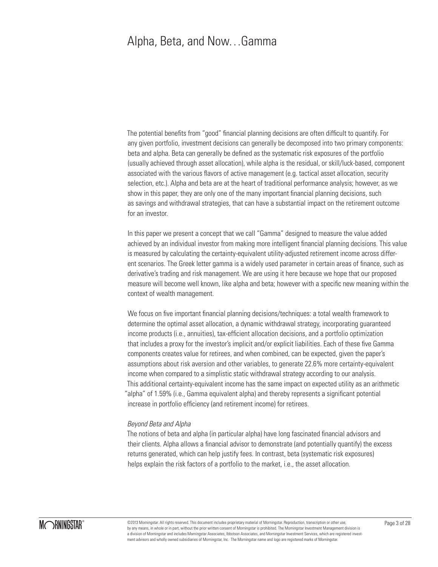## Alpha, Beta, and Now…Gamma

The potential benefits from "good" financial planning decisions are often difficult to quantify. For any given portfolio, investment decisions can generally be decomposed into two primary components: beta and alpha. Beta can generally be defined as the systematic risk exposures of the portfolio (usually achieved through asset allocation), while alpha is the residual, or skill/luck-based, component associated with the various flavors of active management (e.g. tactical asset allocation, security selection, etc.). Alpha and beta are at the heart of traditional performance analysis; however, as we show in this paper, they are only one of the many important financial planning decisions, such as savings and withdrawal strategies, that can have a substantial impact on the retirement outcome for an investor.

In this paper we present a concept that we call "Gamma" designed to measure the value added achieved by an individual investor from making more intelligent financial planning decisions. This value is measured by calculating the certainty-equivalent utility-adjusted retirement income across different scenarios. The Greek letter gamma is a widely used parameter in certain areas of finance, such as derivative's trading and risk management. We are using it here because we hope that our proposed measure will become well known, like alpha and beta; however with a specific new meaning within the context of wealth management.

We focus on five important financial planning decisions/techniques: a total wealth framework to determine the optimal asset allocation, a dynamic withdrawal strategy, incorporating guaranteed income products (i.e., annuities), tax-efficient allocation decisions, and a portfolio optimization that includes a proxy for the investor's implicit and/or explicit liabilities. Each of these five Gamma components creates value for retirees, and when combined, can be expected, given the paper's assumptions about risk aversion and other variables, to generate 22.6% more certainty-equivalent income when compared to a simplistic static withdrawal strategy according to our analysis. This additional certainty-equivalent income has the same impact on expected utility as an arithmetic "alpha" of 1.59% (i.e., Gamma equivalent alpha) and thereby represents a significant potential increase in portfolio efficiency (and retirement income) for retirees.

#### *Beyond Beta and Alpha*

The notions of beta and alpha (in particular alpha) have long fascinated financial advisors and their clients. Alpha allows a financial advisor to demonstrate (and potentially quantify) the excess returns generated, which can help justify fees. In contrast, beta (systematic risk exposures) helps explain the risk factors of a portfolio to the market, i.e., the asset allocation.

©2013 Morningstar. All rights reserved. This document includes proprietary material of Morningstar. Reproduction, transcription or other use, Page 3 of 28 by any means, in whole or in part, without the prior written consent of Morningstar is prohibited. The Morningstar Investment Management division is a division of Morningstar and includes Morningstar Associates, Ibbotson Associates, and Morningstar Investment Services, which are registered investment advisors and wholly owned subsidiaries of Morningstar, Inc. The Morningstar name and logo are registered marks of Morningstar.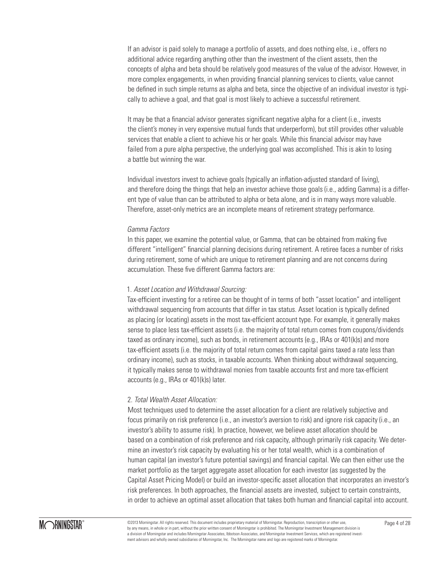If an advisor is paid solely to manage a portfolio of assets, and does nothing else, i.e., offers no additional advice regarding anything other than the investment of the client assets, then the concepts of alpha and beta should be relatively good measures of the value of the advisor. However, in more complex engagements, in when providing financial planning services to clients, value cannot be defined in such simple returns as alpha and beta, since the objective of an individual investor is typically to achieve a goal, and that goal is most likely to achieve a successful retirement.

It may be that a financial advisor generates significant negative alpha for a client (i.e., invests the client's money in very expensive mutual funds that underperform), but still provides other valuable services that enable a client to achieve his or her goals. While this financial advisor may have failed from a pure alpha perspective, the underlying goal was accomplished. This is akin to losing a battle but winning the war.

Individual investors invest to achieve goals (typically an inflation-adjusted standard of living), and therefore doing the things that help an investor achieve those goals (i.e., adding Gamma) is a different type of value than can be attributed to alpha or beta alone, and is in many ways more valuable. Therefore, asset-only metrics are an incomplete means of retirement strategy performance.

### *Gamma Factors*

In this paper, we examine the potential value, or Gamma, that can be obtained from making five different "intelligent" financial planning decisions during retirement. A retiree faces a number of risks during retirement, some of which are unique to retirement planning and are not concerns during accumulation. These five different Gamma factors are:

### 1. *Asset Location and Withdrawal Sourcing:*

Tax-efficient investing for a retiree can be thought of in terms of both "asset location" and intelligent withdrawal sequencing from accounts that differ in tax status. Asset location is typically defined as placing (or locating) assets in the most tax-efficient account type. For example, it generally makes sense to place less tax-efficient assets (i.e. the majority of total return comes from coupons/dividends taxed as ordinary income), such as bonds, in retirement accounts (e.g., IRAs or 401(k)s) and more tax-efficient assets (i.e. the majority of total return comes from capital gains taxed a rate less than ordinary income), such as stocks, in taxable accounts. When thinking about withdrawal sequencing, it typically makes sense to withdrawal monies from taxable accounts first and more tax-efficient accounts (e.g., IRAs or 401(k)s) later.

### 2. *Total Wealth Asset Allocation:*

Most techniques used to determine the asset allocation for a client are relatively subjective and focus primarily on risk preference (i.e., an investor's aversion to risk) and ignore risk capacity (i.e., an investor's ability to assume risk). In practice, however, we believe asset allocation should be based on a combination of risk preference and risk capacity, although primarily risk capacity. We determine an investor's risk capacity by evaluating his or her total wealth, which is a combination of human capital (an investor's future potential savings) and financial capital. We can then either use the market portfolio as the target aggregate asset allocation for each investor (as suggested by the Capital Asset Pricing Model) or build an investor-specific asset allocation that incorporates an investor's risk preferences. In both approaches, the financial assets are invested, subject to certain constraints, in order to achieve an optimal asset allocation that takes both human and financial capital into account.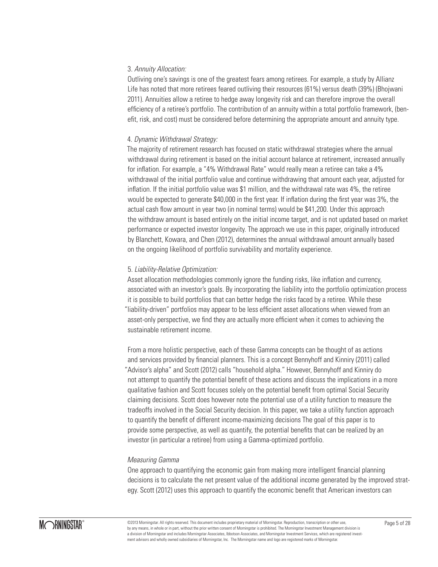## 3. *Annuity Allocation:*

Outliving one's savings is one of the greatest fears among retirees. For example, a study by Allianz Life has noted that more retirees feared outliving their resources (61%) versus death (39%) (Bhojwani 2011). Annuities allow a retiree to hedge away longevity risk and can therefore improve the overall efficiency of a retiree's portfolio. The contribution of an annuity within a total portfolio framework, (benefit, risk, and cost) must be considered before determining the appropriate amount and annuity type.

## 4. *Dynamic Withdrawal Strategy:*

The majority of retirement research has focused on static withdrawal strategies where the annual withdrawal during retirement is based on the initial account balance at retirement, increased annually for inflation. For example, a "4% Withdrawal Rate" would really mean a retiree can take a 4% withdrawal of the initial portfolio value and continue withdrawing that amount each year, adjusted for inflation. If the initial portfolio value was \$1 million, and the withdrawal rate was 4%, the retiree would be expected to generate \$40,000 in the first year. If inflation during the first year was 3%, the actual cash flow amount in year two (in nominal terms) would be \$41,200. Under this approach the withdraw amount is based entirely on the initial income target, and is not updated based on market performance or expected investor longevity. The approach we use in this paper, originally introduced by Blanchett, Kowara, and Chen (2012), determines the annual withdrawal amount annually based on the ongoing likelihood of portfolio survivability and mortality experience.

## 5. *Liability-Relative Optimization:*

Asset allocation methodologies commonly ignore the funding risks, like inflation and currency, associated with an investor's goals. By incorporating the liability into the portfolio optimization process it is possible to build portfolios that can better hedge the risks faced by a retiree. While these "liability-driven" portfolios may appear to be less efficient asset allocations when viewed from an asset-only perspective, we find they are actually more efficient when it comes to achieving the sustainable retirement income.

From a more holistic perspective, each of these Gamma concepts can be thought of as actions and services provided by financial planners. This is a concept Bennyhoff and Kinniry (2011) called "Advisor's alpha" and Scott (2012) calls "household alpha." However, Bennyhoff and Kinniry do not attempt to quantify the potential benefit of these actions and discuss the implications in a more qualitative fashion and Scott focuses solely on the potential benefit from optimal Social Security claiming decisions. Scott does however note the potential use of a utility function to measure the tradeoffs involved in the Social Security decision. In this paper, we take a utility function approach to quantify the benefit of different income-maximizing decisions The goal of this paper is to provide some perspective, as well as quantify, the potential benefits that can be realized by an investor (in particular a retiree) from using a Gamma-optimized portfolio.

### *Measuring Gamma*

One approach to quantifying the economic gain from making more intelligent financial planning decisions is to calculate the net present value of the additional income generated by the improved strategy. Scott (2012) uses this approach to quantify the economic benefit that American investors can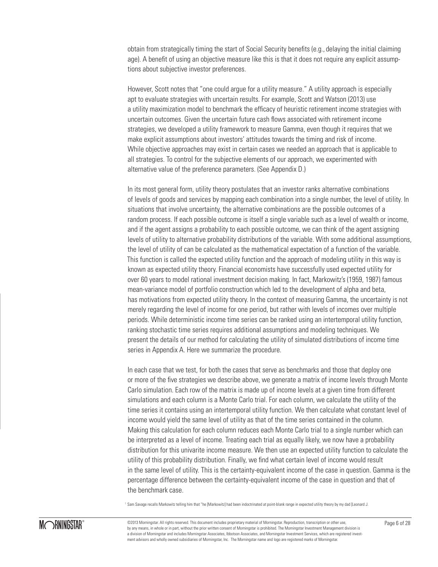obtain from strategically timing the start of Social Security benefits (e.g., delaying the initial claiming age). A benefit of using an objective measure like this is that it does not require any explicit assumptions about subjective investor preferences.

However, Scott notes that "one could argue for a utility measure." A utility approach is especially apt to evaluate strategies with uncertain results. For example, Scott and Watson (2013) use a utility maximization model to benchmark the efficacy of heuristic retirement income strategies with uncertain outcomes. Given the uncertain future cash flows associated with retirement income strategies, we developed a utility framework to measure Gamma, even though it requires that we make explicit assumptions about investors' attitudes towards the timing and risk of income. While objective approaches may exist in certain cases we needed an approach that is applicable to all strategies. To control for the subjective elements of our approach, we experimented with alternative value of the preference parameters. (See Appendix D.)

In its most general form, utility theory postulates that an investor ranks alternative combinations of levels of goods and services by mapping each combination into a single number, the level of utility. In situations that involve uncertainty, the alternative combinations are the possible outcomes of a random process. If each possible outcome is itself a single variable such as a level of wealth or income, and if the agent assigns a probability to each possible outcome, we can think of the agent assigning levels of utility to alternative probability distributions of the variable. With some additional assumptions, the level of utility of can be calculated as the mathematical expectation of a function of the variable. This function is called the expected utility function and the approach of modeling utility in this way is known as expected utility theory. Financial economists have successfully used expected utility for over 60 years to model rational investment decision making. In fact, Markowitz's (1959, 1987) famous mean-variance model of portfolio construction which led to the development of alpha and beta, has motivations from expected utility theory. In the context of measuring Gamma, the uncertainty is not merely regarding the level of income for one period, but rather with levels of incomes over multiple periods. While deterministic income time series can be ranked using an intertemporal utility function, ranking stochastic time series requires additional assumptions and modeling techniques. We present the details of our method for calculating the utility of simulated distributions of income time series in Appendix A. Here we summarize the procedure.

In each case that we test, for both the cases that serve as benchmarks and those that deploy one or more of the five strategies we describe above, we generate a matrix of income levels through Monte Carlo simulation. Each row of the matrix is made up of income levels at a given time from different simulations and each column is a Monte Carlo trial. For each column, we calculate the utility of the time series it contains using an intertemporal utility function. We then calculate what constant level of income would yield the same level of utility as that of the time series contained in the column. Making this calculation for each column reduces each Monte Carlo trial to a single number which can be interpreted as a level of income. Treating each trial as equally likely, we now have a probability distribution for this univarite income measure. We then use an expected utility function to calculate the utility of this probability distribution. Finally, we find what certain level of income would result in the same level of utility. This is the certainty-equivalent income of the case in question. Gamma is the percentage difference between the certainty-equivalent income of the case in question and that of the benchmark case.

1 Sam Savage recalls Markowitz telling him that "he [Markowitz] had been indoctrinated at point-blank range in expected utility theory by my dad [Leonard J.



©2013 Morningstar. All rights reserved. This document includes proprietary material of Morningstar. Reproduction, transcription or other use, Page 6 of 28 by any means, in whole or in part, without the prior written consent of Morningstar is prohibited. The Morningstar Investment Management division is a division of Morningstar and includes Morningstar Associates, Ibbotson Associates, and Morningstar Investment Services, which are registered investment advisors and wholly owned subsidiaries of Morningstar, Inc. The Morningstar name and logo are registered marks of Morningstar.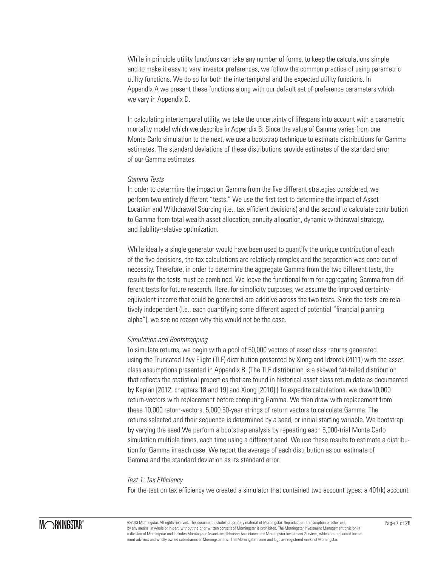While in principle utility functions can take any number of forms, to keep the calculations simple and to make it easy to vary investor preferences, we follow the common practice of using parametric utility functions. We do so for both the intertemporal and the expected utility functions. In Appendix A we present these functions along with our default set of preference parameters which we vary in Appendix D.

In calculating intertemporal utility, we take the uncertainty of lifespans into account with a parametric mortality model which we describe in Appendix B. Since the value of Gamma varies from one Monte Carlo simulation to the next, we use a bootstrap technique to estimate distributions for Gamma estimates. The standard deviations of these distributions provide estimates of the standard error of our Gamma estimates.

#### *Gamma Tests*

In order to determine the impact on Gamma from the five different strategies considered, we perform two entirely different "tests." We use the first test to determine the impact of Asset Location and Withdrawal Sourcing (i.e., tax efficient decisions) and the second to calculate contribution to Gamma from total wealth asset allocation, annuity allocation, dynamic withdrawal strategy, and liability-relative optimization.

While ideally a single generator would have been used to quantify the unique contribution of each of the five decisions, the tax calculations are relatively complex and the separation was done out of necessity. Therefore, in order to determine the aggregate Gamma from the two different tests, the results for the tests must be combined. We leave the functional form for aggregating Gamma from different tests for future research. Here, for simplicity purposes, we assume the improved certaintyequivalent income that could be generated are additive across the two tests. Since the tests are relatively independent (i.e., each quantifying some different aspect of potential "financial planning alpha"), we see no reason why this would not be the case.

#### *Simulation and Bootstrapping*

To simulate returns, we begin with a pool of 50,000 vectors of asset class returns generated using the Truncated Lévy Flight (TLF) distribution presented by Xiong and Idzorek (2011) with the asset class assumptions presented in Appendix B. (The TLF distribution is a skewed fat-tailed distribution that reflects the statistical properties that are found in historical asset class return data as documented by Kaplan [2012, chapters 18 and 19] and Xiong [2010].) To expedite calculations, we draw10,000 return-vectors with replacement before computing Gamma. We then draw with replacement from these 10,000 return-vectors, 5,000 50-year strings of return vectors to calculate Gamma. The returns selected and their sequence is determined by a seed, or initial starting variable. We bootstrap by varying the seed.We perform a bootstrap analysis by repeating each 5,000-trial Monte Carlo simulation multiple times, each time using a different seed. We use these results to estimate a distribution for Gamma in each case. We report the average of each distribution as our estimate of Gamma and the standard deviation as its standard error.

#### *Test 1: Tax Efficiency*

For the test on tax efficiency we created a simulator that contained two account types: a 401(k) account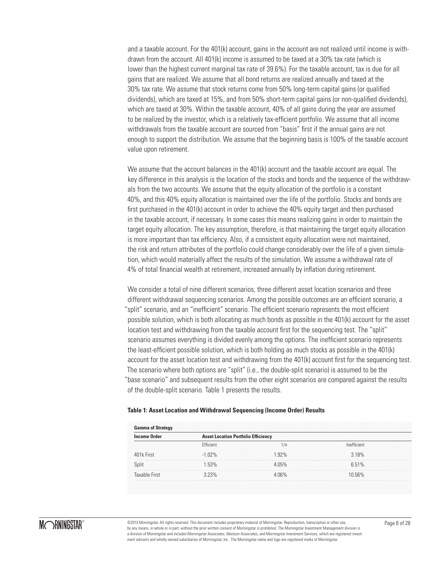and a taxable account. For the 401(k) account, gains in the account are not realized until income is withdrawn from the account. All 401(k) income is assumed to be taxed at a 30% tax rate (which is lower than the highest current marginal tax rate of 39.6%). For the taxable account, tax is due for all gains that are realized. We assume that all bond returns are realized annually and taxed at the 30% tax rate. We assume that stock returns come from 50% long-term capital gains (or qualified dividends), which are taxed at 15%, and from 50% short-term capital gains (or non-qualified dividends), which are taxed at 30%. Within the taxable account, 40% of all gains during the year are assumed to be realized by the investor, which is a relatively tax-efficient portfolio. We assume that all income withdrawals from the taxable account are sourced from "basis" first if the annual gains are not enough to support the distribution. We assume that the beginning basis is 100% of the taxable account value upon retirement.

We assume that the account balances in the 401(k) account and the taxable account are equal. The key difference in this analysis is the location of the stocks and bonds and the sequence of the withdrawals from the two accounts. We assume that the equity allocation of the portfolio is a constant 40%, and this 40% equity allocation is maintained over the life of the portfolio. Stocks and bonds are first purchased in the 401(k) account in order to achieve the 40% equity target and then purchased in the taxable account, if necessary. In some cases this means realizing gains in order to maintain the target equity allocation. The key assumption, therefore, is that maintaining the target equity allocation is more important than tax efficiency. Also, if a consistent equity allocation were not maintained, the risk and return attributes of the portfolio could change considerably over the life of a given simulation, which would materially affect the results of the simulation. We assume a withdrawal rate of 4% of total financial wealth at retirement, increased annually by inflation during retirement.

We consider a total of nine different scenarios, three different asset location scenarios and three different withdrawal sequencing scenarios. Among the possible outcomes are an efficient scenario, a "split" scenario, and an "inefficient" scenario. The efficient scenario represents the most efficient possible solution, which is both allocating as much bonds as possible in the 401(k) account for the asset location test and withdrawing from the taxable account first for the sequencing test. The "split" scenario assumes everything is divided evenly among the options. The inefficient scenario represents the least-efficient possible solution, which is both holding as much stocks as possible in the 401(k) account for the asset location test and withdrawing from the 401(k) account first for the sequencing test. The scenario where both options are "split" (i.e., the double-split scenario) is assumed to be the "base scenario" and subsequent results from the other eight scenarios are compared against the results of the double-split scenario. Table 1 presents the results.

#### **Table 1: Asset Location and Withdrawal Sequencing (Income Order) Results**

| <b>Gamma of Strategy</b> |                                            |       |             |  |  |  |  |
|--------------------------|--------------------------------------------|-------|-------------|--|--|--|--|
| <b>Income Order</b>      | <b>Asset Location Portfolio Efficiency</b> |       |             |  |  |  |  |
|                          | <b>Ffficient</b>                           | 1/n   | inefficient |  |  |  |  |
| 401k First               | $-1.02\%$                                  | 1.92% | 3.18%       |  |  |  |  |
| Split                    | 1.53%                                      | 405%  | 6.51%       |  |  |  |  |
| <b>Taxable First</b>     | 3.23%                                      | 4.06% | 10.56%      |  |  |  |  |



©2013 Morningstar. All rights reserved. This document includes proprietary material of Morningstar. Reproduction, transcription or other use, Page 8 of 28 by any means, in whole or in part, without the prior written consent of Morningstar is prohibited. The Morningstar Investment Management division is a division of Morningstar and includes Morningstar Associates, Ibbotson Associates, and Morningstar Investment Services, which are registered investment advisors and wholly owned subsidiaries of Morningstar, Inc. The Morningstar name and logo are registered marks of Morningstar.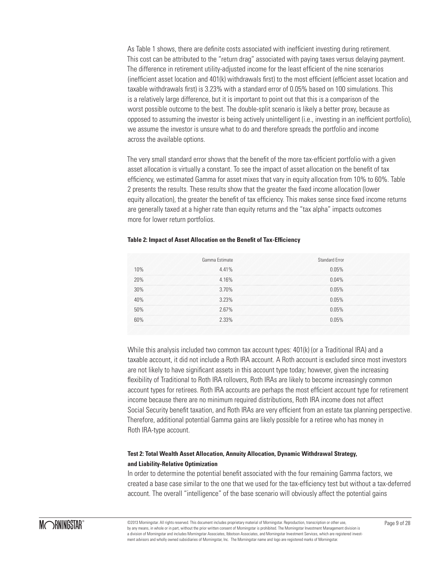As Table 1 shows, there are definite costs associated with inefficient investing during retirement. This cost can be attributed to the "return drag" associated with paying taxes versus delaying payment. The difference in retirement utility-adjusted income for the least efficient of the nine scenarios (inefficient asset location and 401(k) withdrawals first) to the most efficient (efficient asset location and taxable withdrawals first) is 3.23% with a standard error of 0.05% based on 100 simulations. This is a relatively large difference, but it is important to point out that this is a comparison of the worst possible outcome to the best. The double-split scenario is likely a better proxy, because as opposed to assuming the investor is being actively unintelligent (i.e., investing in an inefficient portfolio), we assume the investor is unsure what to do and therefore spreads the portfolio and income across the available options.

The very small standard error shows that the benefit of the more tax-efficient portfolio with a given asset allocation is virtually a constant. To see the impact of asset allocation on the benefit of tax efficiency, we estimated Gamma for asset mixes that vary in equity allocation from 10% to 60%. Table 2 presents the results. These results show that the greater the fixed income allocation (lower equity allocation), the greater the benefit of tax efficiency. This makes sense since fixed income returns are generally taxed at a higher rate than equity returns and the "tax alpha" impacts outcomes more for lower return portfolios.

|                                                        | Gamma Estimate | Standard Frror |  |
|--------------------------------------------------------|----------------|----------------|--|
| 10%                                                    | 4.41%          | 0.05%          |  |
| 20%                                                    | 4.16%          | 0.04%          |  |
| 30%                                                    | 3.70%          | 0.05%          |  |
| 40%                                                    | 323%           | 0.05%          |  |
| しゅうしん かくい アール・アール かいしょう アール・アール アール・アール アール・アール<br>50% | 2.67%          | 0.05%          |  |
|                                                        | 2.33%          |                |  |

#### **Table 2: Impact of Asset Allocation on the Benefit of Tax-Efficiency**

While this analysis included two common tax account types: 401(k) (or a Traditional IRA) and a taxable account, it did not include a Roth IRA account. A Roth account is excluded since most investors are not likely to have significant assets in this account type today; however, given the increasing flexibility of Traditional to Roth IRA rollovers, Roth IRAs are likely to become increasingly common account types for retirees. Roth IRA accounts are perhaps the most efficient account type for retirement income because there are no minimum required distributions, Roth IRA income does not affect Social Security benefit taxation, and Roth IRAs are very efficient from an estate tax planning perspective. Therefore, additional potential Gamma gains are likely possible for a retiree who has money in Roth IRA-type account.

## **Test 2: Total Wealth Asset Allocation, Annuity Allocation, Dynamic Withdrawal Strategy, and Liability-Relative Optimization**

In order to determine the potential benefit associated with the four remaining Gamma factors, we created a base case similar to the one that we used for the tax-efficiency test but without a tax-deferred account. The overall "intelligence" of the base scenario will obviously affect the potential gains

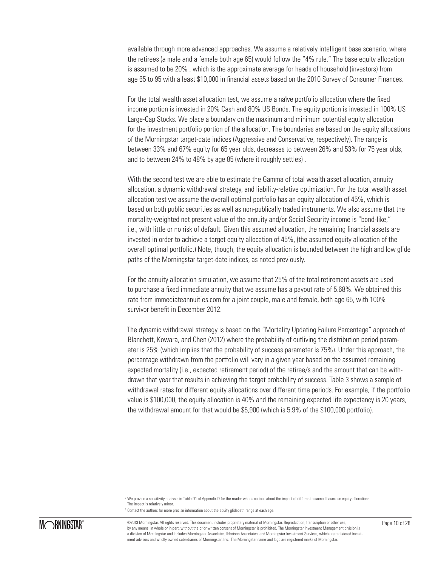available through more advanced approaches. We assume a relatively intelligent base scenario, where the retirees (a male and a female both age 65) would follow the "4% rule." The base equity allocation is assumed to be 20% , which is the approximate average for heads of household (investors) from age 65 to 95 with a least \$10,000 in financial assets based on the 2010 Survey of Consumer Finances.

For the total wealth asset allocation test, we assume a naïve portfolio allocation where the fixed income portion is invested in 20% Cash and 80% US Bonds. The equity portion is invested in 100% US Large-Cap Stocks. We place a boundary on the maximum and minimum potential equity allocation for the investment portfolio portion of the allocation. The boundaries are based on the equity allocations of the Morningstar target-date indices (Aggressive and Conservative, respectively). The range is between 33% and 67% equity for 65 year olds, decreases to between 26% and 53% for 75 year olds, and to between 24% to 48% by age 85 (where it roughly settles) .

With the second test we are able to estimate the Gamma of total wealth asset allocation, annuity allocation, a dynamic withdrawal strategy, and liability-relative optimization. For the total wealth asset allocation test we assume the overall optimal portfolio has an equity allocation of 45%, which is based on both public securities as well as non-publically traded instruments. We also assume that the mortality-weighted net present value of the annuity and/or Social Security income is "bond-like," i.e., with little or no risk of default. Given this assumed allocation, the remaining financial assets are invested in order to achieve a target equity allocation of 45%, (the assumed equity allocation of the overall optimal portfolio.) Note, though, the equity allocation is bounded between the high and low glide paths of the Morningstar target-date indices, as noted previously.

For the annuity allocation simulation, we assume that 25% of the total retirement assets are used to purchase a fixed immediate annuity that we assume has a payout rate of 5.68%. We obtained this rate from immediateannuities.com for a joint couple, male and female, both age 65, with 100% survivor benefit in December 2012.

The dynamic withdrawal strategy is based on the "Mortality Updating Failure Percentage" approach of Blanchett, Kowara, and Chen (2012) where the probability of outliving the distribution period parameter is 25% (which implies that the probability of success parameter is 75%). Under this approach, the percentage withdrawn from the portfolio will vary in a given year based on the assumed remaining expected mortality (i.e., expected retirement period) of the retiree/s and the amount that can be withdrawn that year that results in achieving the target probability of success. Table 3 shows a sample of withdrawal rates for different equity allocations over different time periods. For example, if the portfolio value is \$100,000, the equity allocation is 40% and the remaining expected life expectancy is 20 years, the withdrawal amount for that would be \$5,900 (which is 5.9% of the \$100,000 portfolio).



©2013 Morningstar. All rights reserved. This document includes proprietary material of Morningstar. Reproduction, transcription or other use, Page 10 of 28 by any means, in whole or in part, without the prior written consent of Morningstar is prohibited. The Morningstar Investment Management division is a division of Morningstar and includes Morningstar Associates, Ibbotson Associates, and Morningstar Investment Services, which are registered investment advisors and wholly owned subsidiaries of Morningstar, Inc. The Morningstar name and logo are registered marks of Morningstar.

<sup>2</sup> We provide a sensitivity analysis in Table D1 of Appendix D for the reader who is curious about the impact of different assumed basecase equity allocations. The impact is relatively minor.

 $3$  Contact the authors for more precise information about the equity glidepath range at each age.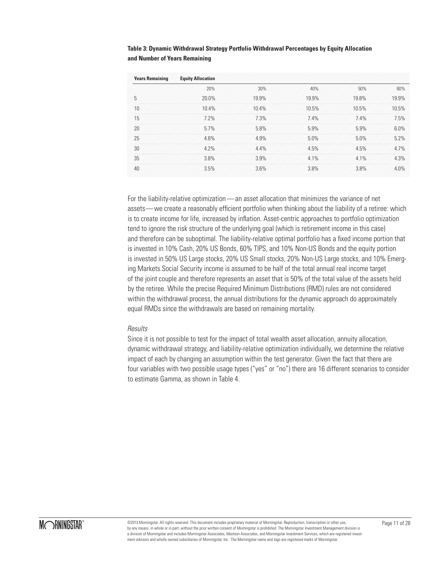| Table 3: Dynamic Withdrawal Strategy Portfolio Withdrawal Percentages by Equity Allocation |
|--------------------------------------------------------------------------------------------|
| and Number of Years Remaining                                                              |

| <b>Years Remaining</b> | <b>Equity Allocation</b> |       |       |       |         |
|------------------------|--------------------------|-------|-------|-------|---------|
|                        | 20%                      | 30%   | 40%   | 50%   | 60%     |
| 5                      | $20.0\%$                 | 19.9% | 19.9% | 19.8% | 19.9%   |
| 10                     | 10.4%                    | 10.4% | 10.5% | 10.5% | 10.5%   |
| 15                     | 7.2%                     | 7.3%  | 7.4%  | 7.4%  | 7.5%    |
| 20                     | 5.7%                     | 5.8%  | 5.9%  | 5.9%  | $6.0\%$ |
| 25                     | 4.8%                     | 4.9%  | 5.0%  | 5.0%  | 5.2%    |
| 30                     | 42%                      | 44%   | 4.5%  | 4.5%  | 47%     |
| 35                     | 3.8%                     | 3.9%  | 4.1%  | 4.1%  | 4.3%    |
| 40                     | 3.5%                     | 3.6%  | 3.8%  | 3.8%  | 40%     |

For the liability-relative optimization — an asset allocation that minimizes the variance of net assets— we create a reasonably efficient portfolio when thinking about the liability of a retiree: which is to create income for life, increased by inflation. Asset-centric approaches to portfolio optimization tend to ignore the risk structure of the underlying goal (which is retirement income in this case) and therefore can be suboptimal. The liability-relative optimal portfolio has a fixed income portion that is invested in 10% Cash, 20% US Bonds, 60% TIPS, and 10% Non-US Bonds and the equity portion is invested in 50% US Large stocks, 20% US Small stocks, 20% Non-US Large stocks, and 10% Emerging Markets.Social Security income is assumed to be half of the total annual real income target of the joint couple and therefore represents an asset that is 50% of the total value of the assets held by the retiree. While the precise Required Minimum Distributions (RMD) rules are not considered within the withdrawal process, the annual distributions for the dynamic approach do approximately equal RMDs since the withdrawals are based on remaining mortality.

### *Results*

Since it is not possible to test for the impact of total wealth asset allocation, annuity allocation, dynamic withdrawal strategy, and liability-relative optimization individually, we determine the relative impact of each by changing an assumption within the test generator. Given the fact that there are four variables with two possible usage types ("yes" or "no") there are 16 different scenarios to consider to estimate Gamma, as shown in Table 4.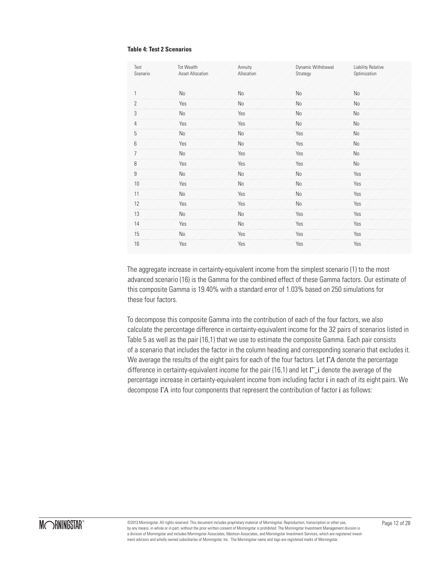#### **Table 4: Test 2 Scenarios**

| Test<br>Scenario   | <b>Tot Wealth</b><br><b>Asset Allocation</b> | Annuity<br>Allocation | Dynamic Withdrawal<br>Strategy | <b>Liability Relative</b><br>Optimization |
|--------------------|----------------------------------------------|-----------------------|--------------------------------|-------------------------------------------|
| 1                  | No                                           | No                    | No                             | No                                        |
| $\overline{2}$     | Yes                                          | No                    | No                             | No                                        |
| $\overline{3}$     | No                                           | Yes                   | No                             | No                                        |
| $\overline{4}$     | Yes                                          | Yes                   | No                             | No                                        |
| 5                  | No                                           | No                    | Yes                            | No                                        |
| $6\phantom{a}$     | Yes                                          | No                    | Yes                            | No                                        |
| $\overline{\iota}$ | No                                           | Yes                   | Yes                            | No                                        |
| 8                  | Yes                                          | Yes                   | Yes                            | No                                        |
| $\overline{9}$     | <b>No</b>                                    | No                    | No                             | Yes                                       |
| 10                 | Yes                                          | No                    | No                             | Yes                                       |
| 11                 | No                                           | Yes                   | No                             | Yes                                       |
| 12                 | Yes                                          | Yes                   | No                             | Yes                                       |
| 13                 | No                                           | No                    | Yes                            | Yes                                       |
| 14                 | Yes                                          | No                    | Yes                            | Yes                                       |
| 15                 | No                                           | Yes                   | Yes                            | Yes                                       |
| 16                 | Yes                                          | Yes                   | Yes                            | Yes                                       |

The aggregate increase in certainty-equivalent income from the simplest scenario (1) to the most advanced scenario (16) is the Gamma for the combined effect of these Gamma factors. Our estimate of this composite Gamma is 19.40% with a standard error of 1.03% based on 250 simulations for these four factors.

To decompose this composite Gamma into the contribution of each of the four factors, we also calculate the percentage difference in certainty-equivalent income for the 32 pairs of scenarios listed in Table 5 as well as the pair (16,1) that we use to estimate the composite Gamma. Each pair consists of a scenario that includes the factor in the column heading and corresponding scenario that excludes it. We average the results of the eight pairs for each of the four factors. Let ΓA denote the percentage difference in certainty-equivalent income for the pair (16,1) and let Γ i denote the average of the percentage increase in certainty-equivalent income from including factor i in each of its eight pairs. We decompose ΓA into four components that represent the contribution of factor i as follows: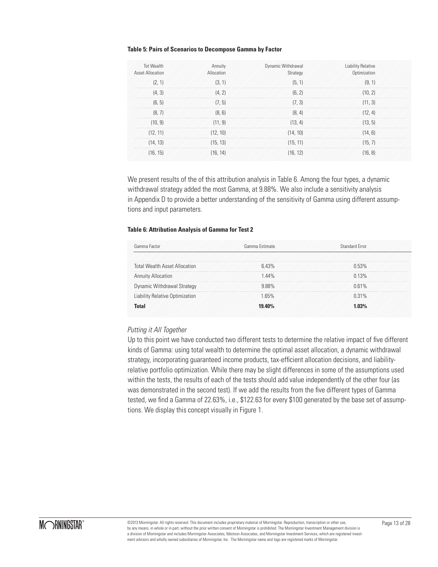#### **Table 5: Pairs of Scenarios to Decompose Gamma by Factor**

| <b>Tot Wealth</b><br><b>Asset Allocation</b> | Annuity<br>Allocation | Dynamic Withdrawal<br>Strategy | <b>Liability Relative</b><br>Optimization |
|----------------------------------------------|-----------------------|--------------------------------|-------------------------------------------|
| (2, 1)                                       | (3, 1)                | (5, 1)                         | (9, 1)                                    |
| (4, 3)                                       | (4, 2)                | (6, 2)                         | (10, 2)                                   |
| (6, 5)                                       | (7, 5)                | (7, 3)                         | (11, 3)                                   |
| (8, 7)                                       | (8, 6)                | (8, 4)                         | (12, 4)                                   |
| (10, 9)                                      | (11, 9)               | (13, 4)                        | (13.5)                                    |
| (12, 11)                                     | (12, 10)              | (14, 10)                       | (14, 6)                                   |
| (14, 13)                                     | (15, 13)              | (15, 11)                       | (15, 7)                                   |
| (16, 15)                                     | (16.14)               | (16, 12)                       | (16.8)                                    |

We present results of the of this attribution analysis in Table 6. Among the four types, a dynamic withdrawal strategy added the most Gamma, at 9.88%. We also include a sensitivity analysis in Appendix D to provide a better understanding of the sensitivity of Gamma using different assumptions and input parameters.

#### **Table 6: Attribution Analysis of Gamma for Test 2**

| Gamma Factor                         | Gamma Estimate | Standard Frror |
|--------------------------------------|----------------|----------------|
|                                      |                |                |
| <b>Total Wealth Asset Allocation</b> | 643%           | 0.53%          |
| <b>Annuity Allocation</b>            | 144%           | 0.13%          |
| Dynamic Withdrawal Strategy          | 988%           | 0.61%          |
| Liability Relative Optimization      | 165%           | $0.31\%$       |
| Intal                                | 19 40%         | 103%           |

### *Putting it All Together*

Up to this point we have conducted two different tests to determine the relative impact of five different kinds of Gamma: using total wealth to determine the optimal asset allocation, a dynamic withdrawal strategy, incorporating guaranteed income products, tax-efficient allocation decisions, and liabilityrelative portfolio optimization. While there may be slight differences in some of the assumptions used within the tests, the results of each of the tests should add value independently of the other four (as was demonstrated in the second test). If we add the results from the five different types of Gamma tested, we find a Gamma of 22.63%, i.e., \$122.63 for every \$100 generated by the base set of assumptions. We display this concept visually in Figure 1.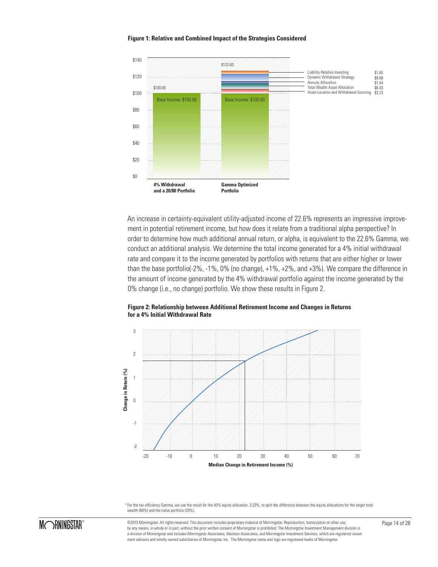

#### **Figure 1: Relative and Combined Impact of the Strategies Considered**

An increase in certainty-equivalent utility-adjusted income of 22.6% represents an impressive improvement in potential retirement income, but how does it relate from a traditional alpha perspective? In order to determine how much additional annual return, or alpha, is equivalent to the 22.6% Gamma, we conduct an additional analysis. We determine the total income generated for a 4% initial withdrawal rate and compare it to the income generated by portfolios with returns that are either higher or lower than the base portfolio(-2%, -1%, 0% (no change), +1%, +2%, and +3%). We compare the difference in the amount of income generated by the 4% withdrawal portfolio against the income generated by the 0% change (i.e., no change) portfolio. We show these results in Figure 2.

#### **Figure 2: Relationship between Additional Retirement Income and Changes in Returns for a 4% Initial Withdrawal Rate**



4 For the tax-efficiency Gamma, we use the result for the 40% equity allocation, 3.23%, to split the difference between the equity allocations for the target total wealth (60%) and the naïve portfolio (20%).



©2013 Morningstar. All rights reserved. This document includes proprietary material of Morningstar. Reproduction, transcription or other use, Page 14 of 28 by any means, in whole or in part, without the prior written consent of Morningstar is prohibited. The Morningstar Investment Management division is a division of Morningstar and includes Morningstar Associates, Ibbotson Associates, and Morningstar Investment Services, which are registered investment advisors and wholly owned subsidiaries of Morningstar, Inc. The Morningstar name and logo are registered marks of Morningstar.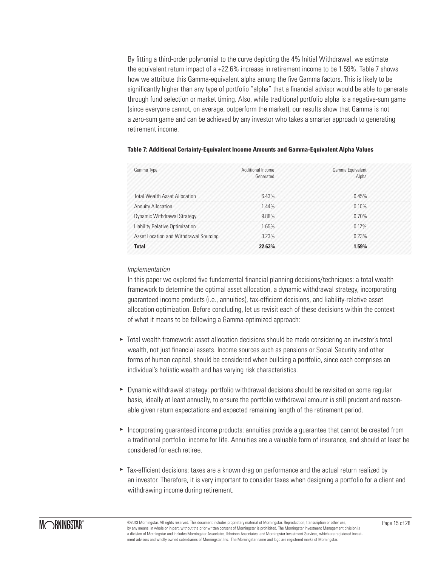By fitting a third-order polynomial to the curve depicting the 4% Initial Withdrawal, we estimate the equivalent return impact of a +22.6% increase in retirement income to be 1.59%. Table 7 shows how we attribute this Gamma-equivalent alpha among the five Gamma factors. This is likely to be significantly higher than any type of portfolio "alpha" that a financial advisor would be able to generate through fund selection or market timing. Also, while traditional portfolio alpha is a negative-sum game (since everyone cannot, on average, outperform the market), our results show that Gamma is not a zero-sum game and can be achieved by any investor who takes a smarter approach to generating retirement income.

| Gamma Type                             | Additional Income<br>Generated | Gamma Equivalent<br>Alpha |
|----------------------------------------|--------------------------------|---------------------------|
| <b>Total Wealth Asset Allocation</b>   | 643%                           | 0.45%                     |
| <b>Annuity Allocation</b>              | 1.44%                          | $0.10\%$                  |
| <b>Dynamic Withdrawal Strategy</b>     | 988%                           | 0.70%                     |
| Liability Relative Optimization        | 165%                           | 0.12%                     |
| Asset Location and Withdrawal Sourcing | 323%                           | 0.23%                     |
| Tota                                   | 2263%                          | 59%                       |

### **Table 7: Additional Certainty-Equivalent Income Amounts and Gamma-Equivalent Alpha Values**

#### *Implementation*

In this paper we explored five fundamental financial planning decisions/techniques: a total wealth framework to determine the optimal asset allocation, a dynamic withdrawal strategy, incorporating guaranteed income products (i.e., annuities), tax-efficient decisions, and liability-relative asset allocation optimization. Before concluding, let us revisit each of these decisions within the context of what it means to be following a Gamma-optimized approach:

- ► Total wealth framework: asset allocation decisions should be made considering an investor's total wealth, not just financial assets. Income sources such as pensions or Social Security and other forms of human capital, should be considered when building a portfolio, since each comprises an individual's holistic wealth and has varying risk characteristics.
- ► Dynamic withdrawal strategy: portfolio withdrawal decisions should be revisited on some regular basis, ideally at least annually, to ensure the portfolio withdrawal amount is still prudent and reasonable given return expectations and expected remaining length of the retirement period.
- **Incorporating guaranteed income products: annuities provide a guarantee that cannot be created from** a traditional portfolio: income for life. Annuities are a valuable form of insurance, and should at least be considered for each retiree.
- ► Tax-efficient decisions: taxes are a known drag on performance and the actual return realized by an investor. Therefore, it is very important to consider taxes when designing a portfolio for a client and withdrawing income during retirement.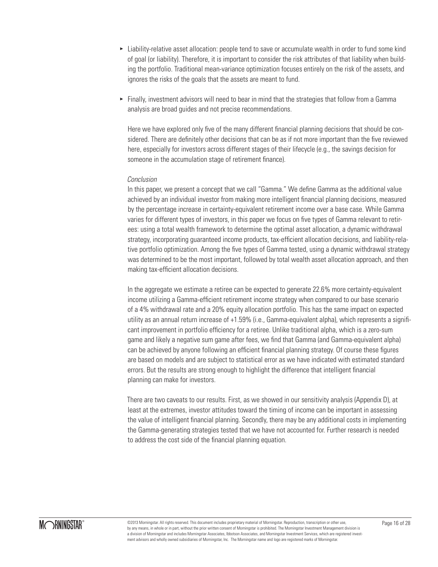- ► Liability-relative asset allocation: people tend to save or accumulate wealth in order to fund some kind of goal (or liability). Therefore, it is important to consider the risk attributes of that liability when building the portfolio. Traditional mean-variance optimization focuses entirely on the risk of the assets, and ignores the risks of the goals that the assets are meant to fund.
- ► Finally, investment advisors will need to bear in mind that the strategies that follow from a Gamma analysis are broad guides and not precise recommendations.

Here we have explored only five of the many different financial planning decisions that should be considered. There are definitely other decisions that can be as if not more important than the five reviewed here, especially for investors across different stages of their lifecycle (e.g., the savings decision for someone in the accumulation stage of retirement finance).

### *Conclusion*

In this paper, we present a concept that we call "Gamma." We define Gamma as the additional value achieved by an individual investor from making more intelligent financial planning decisions, measured by the percentage increase in certainty-equivalent retirement income over a base case. While Gamma varies for different types of investors, in this paper we focus on five types of Gamma relevant to retirees: using a total wealth framework to determine the optimal asset allocation, a dynamic withdrawal strategy, incorporating guaranteed income products, tax-efficient allocation decisions, and liability-relative portfolio optimization. Among the five types of Gamma tested, using a dynamic withdrawal strategy was determined to be the most important, followed by total wealth asset allocation approach, and then making tax-efficient allocation decisions.

In the aggregate we estimate a retiree can be expected to generate 22.6% more certainty-equivalent income utilizing a Gamma-efficient retirement income strategy when compared to our base scenario of a 4% withdrawal rate and a 20% equity allocation portfolio. This has the same impact on expected utility as an annual return increase of +1.59% (i.e., Gamma-equivalent alpha), which represents a significant improvement in portfolio efficiency for a retiree. Unlike traditional alpha, which is a zero-sum game and likely a negative sum game after fees, we find that Gamma (and Gamma-equivalent alpha) can be achieved by anyone following an efficient financial planning strategy. Of course these figures are based on models and are subject to statistical error as we have indicated with estimated standard errors. But the results are strong enough to highlight the difference that intelligent financial planning can make for investors.

There are two caveats to our results. First, as we showed in our sensitivity analysis (Appendix D), at least at the extremes, investor attitudes toward the timing of income can be important in assessing the value of intelligent financial planning. Secondly, there may be any additional costs in implementing the Gamma-generating strategies tested that we have not accounted for. Further research is needed to address the cost side of the financial planning equation.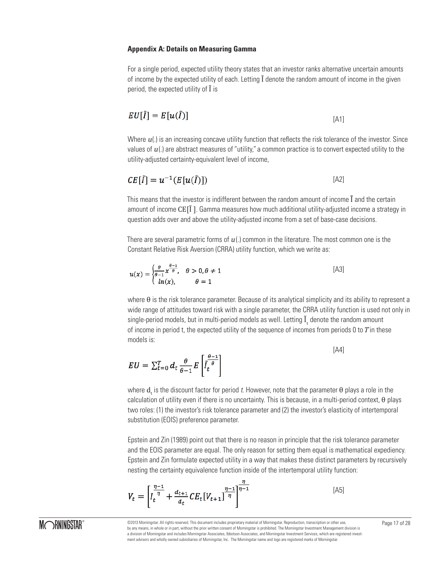#### **Appendix A: Details on Measuring Gamma**

For a single period, expected utility theory states that an investor ranks alternative uncertain amounts of income by the expected utility of each. Letting Ĩ denote the random amount of income in the given period, the expected utility of Ĩ is

$$
EU[\tilde{I}] = E[u(\tilde{I})]
$$
\n<sup>[A1]</sup>

Where  $u(.)$  is an increasing concave utility function that reflects the risk tolerance of the investor. Since values of  $u(.)$  are abstract measures of "utility," a common practice is to convert expected utility to the utility-adjusted certainty-equivalent level of income,

$$
CE[\tilde{I}] = u^{-1}(E[u(\tilde{I})])
$$
\n<sup>[A2]</sup>

This means that the investor is indifferent between the random amount of income Ĩ̃ and the certain amount of income CE[Ĩ ]. Gamma measures how much additional utility-adjusted income a strategy in question adds over and above the utility-adjusted income from a set of base-case decisions.

There are several parametric forms of  $u(.)$  common in the literature. The most common one is the Constant Relative Risk Aversion (CRRA) utility function, which we write as:

$$
u(x) = \begin{cases} \frac{\theta}{\theta - 1} x^{\frac{\theta - 1}{\theta}}, & \theta > 0, \theta \neq 1 \\ ln(x), & \theta = 1 \end{cases}
$$
 [A3]

where θ is the risk tolerance parameter. Because of its analytical simplicity and its ability to represent a wide range of attitudes toward risk with a single parameter, the CRRA utility function is used not only in single-period models, but in multi-period models as well. Letting  $\mathbf{I}_\mathrm{t}$  denote the random amount of income in period t, the expected utility of the sequence of incomes from periods  $0$  to  $T$  in these models is:

$$
EU = \sum_{t=0}^{T} d_t \frac{\theta}{\theta - 1} E\left[\tilde{I}_t^{\frac{\theta - 1}{\theta}}\right]
$$
\n[A4]

where  $\mathbf{d}_{\mathrm{t}}$  is the discount factor for period  $t$ . However, note that the parameter  $\theta$  plays a role in the calculation of utility even if there is no uncertainty. This is because, in a multi-period context, θ plays two roles: (1) the investor's risk tolerance parameter and (2) the investor's elasticity of intertemporal substitution (EOIS) preference parameter.

Epstein and Zin (1989) point out that there is no reason in principle that the risk tolerance parameter and the EOIS parameter are equal. The only reason for setting them equal is mathematical expediency. Epstein and Zin formulate expected utility in a way that makes these distinct parameters by recursively nesting the certainty equivalence function inside of the intertemporal utility function:

$$
V_t = \left[ I_t^{\frac{\eta - 1}{\eta}} + \frac{d_{t+1}}{d_t} CE_t[V_{t+1}]^{\frac{\eta - 1}{\eta}} \right]^{\frac{\eta}{\eta - 1}}
$$
\n(A5)

©2013 Morningstar. All rights reserved. This document includes proprietary material of Morningstar. Reproduction, transcription or other use, Page 17 of 28 by any means, in whole or in part, without the prior written consent of Morningstar is prohibited. The Morningstar Investment Management division is a division of Morningstar and includes Morningstar Associates, Ibbotson Associates, and Morningstar Investment Services, which are registered investment advisors and wholly owned subsidiaries of Morningstar, Inc. The Morningstar name and logo are registered marks of Morningstar.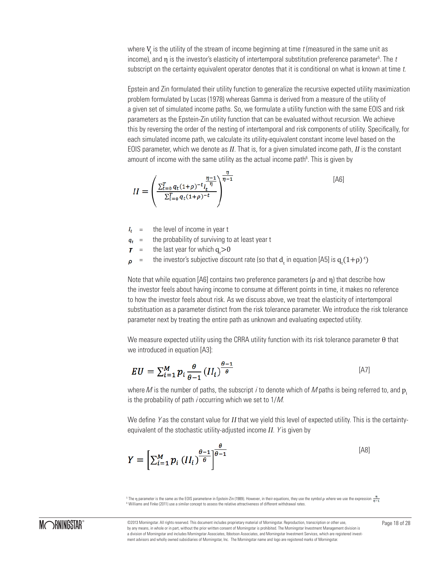where  $V_{\rm t}$  is the utility of the stream of income beginning at time  $t$  (measured in the same unit as income), and  $\eta$  is the investor's elasticity of intertemporal substitution preference parameter<sup>5</sup>. The *t* subscript on the certainty equivalent operator denotes that it is conditional on what is known at time t.

Epstein and Zin formulated their utility function to generalize the recursive expected utility maximization problem formulated by Lucas (1978) whereas Gamma is derived from a measure of the utility of a given set of simulated income paths. So, we formulate a utility function with the same EOIS and risk parameters as the Epstein-Zin utility function that can be evaluated without recursion. We achieve this by reversing the order of the nesting of intertemporal and risk components of utility. Specifically, for each simulated income path, we calculate its utility-equivalent constant income level based on the EOIS parameter, which we denote as ΙΙ. That is, for a given simulated income path, ΙΙ is the constant amount of income with the same utility as the actual income path<sup>6</sup>. This is given by

$$
II = \left(\frac{\sum_{t=0}^{T} q_t (1+\rho)^{-t} I_t^{\frac{\eta}{\eta}}}{\sum_{t=0}^{T} q_t (1+\rho)^{-t}}\right)^{\frac{\eta}{\eta-1}}
$$
\n[A6]

- = the level of income in year t  $I_t$
- = the probability of surviving to at least year t  $q_t$
- = the last year for which  $q_t$ >0
- = the investor's subjective discount rate (so that  $\mathrm{d}_{\mathrm{t}}$  in equation [A5] is  $\mathrm{q}_{\mathrm{t}}(1\!+\!\rho)^{\text{-t}}$ ) D

Note that while equation [A6] contains two preference parameters ( $\rho$  and  $\eta$ ) that describe how the investor feels about having income to consume at different points in time, it makes no reference to how the investor feels about risk. As we discuss above, we treat the elasticity of intertemporal substituation as a parameter distinct from the risk tolerance parameter. We introduce the risk tolerance parameter next by treating the entire path as unknown and evaluating expected utility.

We measure expected utility using the CRRA utility function with its risk tolerance parameter θ that we introduced in equation [A3]:

$$
EU = \sum_{i=1}^{M} p_i \frac{\theta}{\theta - 1} (II_i)^{\frac{\theta - 1}{\theta}}
$$

where M is the number of paths, the subscript i to denote which of M paths is being referred to, and  $p_i$ is the probability of path *i* occurring which we set to  $1/M$ .

We define Y as the constant value for II that we yield this level of expected utility. This is the certaintyequivalent of the stochastic utility-adjusted income II. Y is given by

$$
Y = \left[\sum_{i=1}^{M} p_i \left(I_{i}\right)^{\frac{\theta-1}{\theta}}\right]^{\frac{\theta}{\theta-1}}
$$
\n[A8]

The η parameter is the same as the EOIS parametero in Epstein-Zin (1989). However, in their equations, they use the symbol  $\rho$  where we use the expression  $\frac{\eta}{n-1}$ <sup>6</sup> Williams and Finke (2011) use a similar concept to assess the relative attractiveness of different withdrawal rates.

©2013 Morningstar. All rights reserved. This document includes proprietary material of Morningstar. Reproduction, transcription or other use, Page 18 of 28 by any means, in whole or in part, without the prior written consent of Morningstar is prohibited. The Morningstar Investment Management division is a division of Morningstar and includes Morningstar Associates, Ibbotson Associates, and Morningstar Investment Services, which are registered investment advisors and wholly owned subsidiaries of Morningstar, Inc. The Morningstar name and logo are registered marks of Morningstar.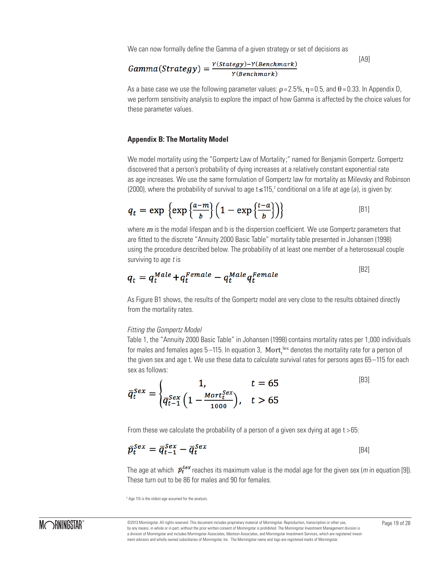We can now formally define the Gamma of a given strategy or set of decisions as

$$
Gamma(String) = \frac{Y(Stategy) - Y(Benchmark)}{Y(Benchmark)}
$$
\n[A9]

As a base case we use the following parameter values:  $p = 2.5\%$ ,  $\eta = 0.5$ , and  $\theta = 0.33$ . In Appendix D, we perform sensitivity analysis to explore the impact of how Gamma is affected by the choice values for these parameter values.

#### **Appendix B: The Mortality Model**

We model mortality using the "Gompertz Law of Mortality;" named for Benjamin Gompertz. Gompertz discovered that a person's probability of dying increases at a relatively constant exponential rate as age increases. We use the same formulation of Gompertz law for mortality as Milevsky and Robinson (2000), where the probability of survival to age t≤115,<sup>7</sup> conditional on a life at age (a), is given by:

$$
q_t = \exp \left\{ \exp \left\{ \frac{a-m}{b} \right\} \left( 1 - \exp \left\{ \frac{t-a}{b} \right\} \right) \right\}
$$
 [B1]

where  $m$  is the modal lifespan and b is the dispersion coefficient. We use Gompertz parameters that are fitted to the discrete "Annuity 2000 Basic Table" mortality table presented in Johansen (1998) using the procedure described below. The probability of at least one member of a heterosexual couple surviving to age  $t$  is

$$
q_t = q_t^{Male} + q_t^{Female} - q_t^{Male} q_t^{Female}
$$
\n<sup>[B2]</sup>

As Figure B1 shows, the results of the Gompertz model are very close to the results obtained directly from the mortality rates.

#### *Fitting the Gompertz Model*

Table 1, the "Annuity 2000 Basic Table" in Johansen (1998) contains mortality rates per 1,000 individuals for males and females ages 5—115. In equation 3,  $\rm{Mort}_t^{\,\rm{sex}}$  denotes the mortality rate for a person of the given sex and age t. We use these data to calculate survival rates for persons ages 65-115 for each sex as follows:

$$
\bar{q}_t^{Sex} = \begin{cases}\n1, & t = 65 \\
\bar{q}_{t-1}^{Sex} \left(1 - \frac{Mort_t^{Sex}}{1000}\right), & t > 65\n\end{cases}
$$
\n<sup>[B3]</sup>

From these we calculate the probability of a person of a given sex dying at age  $t > 65$ :

$$
\bar{p}_t^{Sex} = \bar{q}_{t-1}^{Sex} - \bar{q}_t^{Sex} \tag{B4}
$$

The age at which  $\bar{p}_{t}^{Sex}$  reaches its maximum value is the modal age for the given sex (*m* in equation [9]). These turn out to be 86 for males and 90 for females.

5 Age 115 is the oldest age assumed for the analysis.

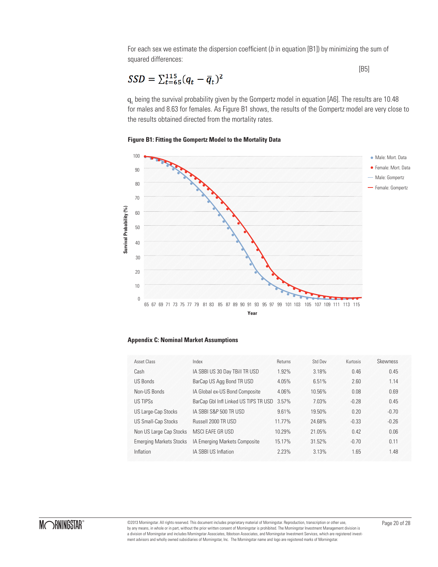For each sex we estimate the dispersion coefficient ( $b$  in equation [B1]) by minimizing the sum of squared differences:

$$
SSD = \sum_{t=65}^{115} (q_t - \bar{q}_t)^2
$$
 [B5]

q, being the survival probability given by the Gompertz model in equation [A6]. The results are 10.48 for males and 8.63 for females. As Figure B1 shows, the results of the Gompertz model are very close to the results obtained directed from the mortality rates.

### **Figure B1: Fitting the Gompertz Model to the Mortality Data**



| Asset Class                    | Index                                 | Returns | Std Dev | Kurtosis | Skewness |
|--------------------------------|---------------------------------------|---------|---------|----------|----------|
| Cash                           | IA SBBI US 30 Day TBill TR USD        | 1.92%   | 3.18%   | 0.46     | 0.45     |
| <b>US Bonds</b>                | BarCap US Agg Bond TR USD             | 4.05%   | 6.51%   | 2.60     | 1.14     |
| Non-US Bonds                   | IA Global ex-US Bond Composite        | 4.06%   | 10.56%  | 0.08     | 0.69     |
| <b>US TIPSS</b>                | BarCap Gbl Infl Linked US TIPS TR USD | 3.57%   | 7.03%   | $-0.28$  | 0.45     |
| US Large-Cap Stocks            | IA SBBI S&P 500 TR USD                | 9.61%   | 19.50%  | 0.20     | $-0.70$  |
| <b>US Small-Cap Stocks</b>     | Russell 2000 TR USD                   | 11.77%  | 24.68%  | $-0.33$  | $-0.26$  |
| Non US Large Cap Stocks        | MSCI EAFE GR USD                      | 10.29%  | 21.05%  | 0.42     | 0.06     |
| <b>Emerging Markets Stocks</b> | IA Emerging Markets Composite         | 15.17%  | 31.52%  | $-0.70$  | 0.11     |
| Inflation                      | IA SBBI US Inflation                  | 2.23%   | 3.13%   | 1.65     | 1.48     |

©2013 Morningstar. All rights reserved. This document includes proprietary material of Morningstar. Reproduction, transcription or other use, Page 20 of 28 by any means, in whole or in part, without the prior written consent of Morningstar is prohibited. The Morningstar Investment Management division is a division of Morningstar and includes Morningstar Associates, Ibbotson Associates, and Morningstar Investment Services, which are registered investment advisors and wholly owned subsidiaries of Morningstar, Inc. The Morningstar name and logo are registered marks of Morningstar.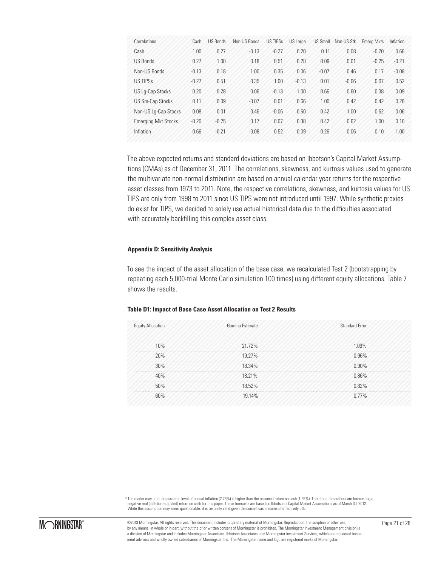| Correlations               | Cash    | <b>US Bonds</b> | Non-US Bonds | <b>US TIPSS</b> | US Large | <b>US Small</b> | Non-US Stk | <b>Emerg Mkts</b> | Inflation |
|----------------------------|---------|-----------------|--------------|-----------------|----------|-----------------|------------|-------------------|-----------|
| Cash                       | 1.00    | 0.27            | $-0.13$      | $-0.27$         | 0.20     | 0.11            | 0.08       | $-0.20$           | 0.66      |
| <b>US Bonds</b>            | 0.27    | 1.00            | 0.18         | 0.51            | 0.28     | 0.09            | 0.01       | $-0.25$           | $-0.21$   |
| Non-US Bonds               | $-0.13$ | 0.18            | 1.00         | 0.35            | 0.06     | $-0.07$         | 0.46       | 0.17              | $-0.08$   |
| <b>US TIPSS</b>            | $-0.27$ | 0.51            | 0.35         | 1.00            | $-0.13$  | 0.01            | $-0.06$    | 0.07              | 0.52      |
| US Lg-Cap Stocks           | 0.20    | 0.28            | 0.06         | $-0.13$         | 1.00     | 0.66            | 0.60       | 0.38              | 0.09      |
| <b>US Sm-Cap Stocks</b>    | 0.11    | 0.09            | $-0.07$      | 0.01            | 0.66     | 1.00            | 0.42       | 0.42              | 0.26      |
| Non-US Lg-Cap Stocks       | 0.08    | 0.01            | 0.46         | $-0.06$         | 0.60     | 0.42            | 1.00       | 0.62              | 0.06      |
| <b>Emerging Mkt Stocks</b> | $-0.20$ | $-0.25$         | 0.17         | 0.07            | 0.38     | 0.42            | 0.62       | 1.00              | 0.10      |
| Inflation                  | 0.66    | $-0.21$         | $-0.08$      | 0.52            | 0.09     | 0.26            | 0.06       | 0.10              | 1.00      |

The above expected returns and standard deviations are based on Ibbotson's Capital Market Assumptions (CMAs) as of December 31, 2011. The correlations, skewness, and kurtosis values used to generate the multivariate non-normal distribution are based on annual calendar year returns for the respective asset classes from 1973 to 2011. Note, the respective correlations, skewness, and kurtosis values for US TIPS are only from 1998 to 2011 since US TIPS were not introduced until 1997. While synthetic proxies do exist for TIPS, we decided to solely use actual historical data due to the difficulties associated with accurately backfilling this complex asset class.

#### **Appendix D: Sensitivity Analysis**

To see the impact of the asset allocation of the base case, we recalculated Test 2 (bootstrapping by repeating each 5,000-trial Monte Carlo simulation 100 times) using different equity allocations. Table 7 shows the results.

#### **Table D1: Impact of Base Case Asset Allocation on Test 2 Results**

| <b>Equity Allocation</b>                                  | Gamma Estimate | Standard Frror |
|-----------------------------------------------------------|----------------|----------------|
| 10%<br>こうりんかん いんこうかんかん いんこうかん いんこうかん いんこうかい いんこうかい いんこうかい | 21.72%         | 1.09%          |
| 20%                                                       | 19.27%         | 0.96%          |
| 30%                                                       | 18.34%         | 0.90%          |
| 40%                                                       | 18.21%         | 0.86%          |
| 50%                                                       | 18.52%         | 0.82%          |
| 60%                                                       | 19.14%         | ገ 77%          |

8 The reader may note the assumed level of annual inflation (2.23%) is higher than the assumed return on cash (1.92%). Therefore, the authors are forecasting a negative real (inflation-adjusted) return on cash for this paper. These forecasts are based on Ibbotson's Capital Market Assumptions as of March 30, 2012.<br>While this assumption may seem questionable, it is certainly valid

©2013 Morningstar. All rights reserved. This document includes proprietary material of Morningstar. Reproduction, transcription or other use, Page 21 of 28 by any means, in whole or in part, without the prior written consent of Morningstar is prohibited. The Morningstar Investment Management division is a division of Morningstar and includes Morningstar Associates, Ibbotson Associates, and Morningstar Investment Services, which are registered investment advisors and wholly owned subsidiaries of Morningstar, Inc. The Morningstar name and logo are registered marks of Morningstar.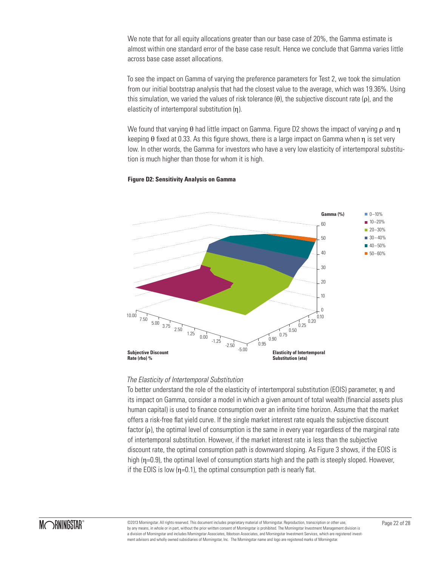We note that for all equity allocations greater than our base case of 20%, the Gamma estimate is almost within one standard error of the base case result. Hence we conclude that Gamma varies little across base case asset allocations.

To see the impact on Gamma of varying the preference parameters for Test 2, we took the simulation from our initial bootstrap analysis that had the closest value to the average, which was 19.36%. Using this simulation, we varied the values of risk tolerance  $(\theta)$ , the subjective discount rate  $(\rho)$ , and the elasticity of intertemporal substitution (η).

We found that varying  $\theta$  had little impact on Gamma. Figure D2 shows the impact of varying  $\rho$  and  $\eta$ keeping θ fixed at 0.33. As this figure shows, there is a large impact on Gamma when η is set very low. In other words, the Gamma for investors who have a very low elasticity of intertemporal substitution is much higher than those for whom it is high.

#### **Figure D2: Sensitivity Analysis on Gamma**



#### *The Elasticity of Intertemporal Substitution*

To better understand the role of the elasticity of intertemporal substitution (EOIS) parameter, η and its impact on Gamma, consider a model in which a given amount of total wealth (financial assets plus human capital) is used to finance consumption over an infinite time horizon. Assume that the market offers a risk-free flat yield curve. If the single market interest rate equals the subjective discount factor (ρ), the optimal level of consumption is the same in every year regardless of the marginal rate of intertemporal substitution. However, if the market interest rate is less than the subjective discount rate, the optimal consumption path is downward sloping. As Figure 3 shows, if the EOIS is high (η=0.9), the optimal level of consumption starts high and the path is steeply sloped. However, if the EOIS is low  $(n=0.1)$ , the optimal consumption path is nearly flat.

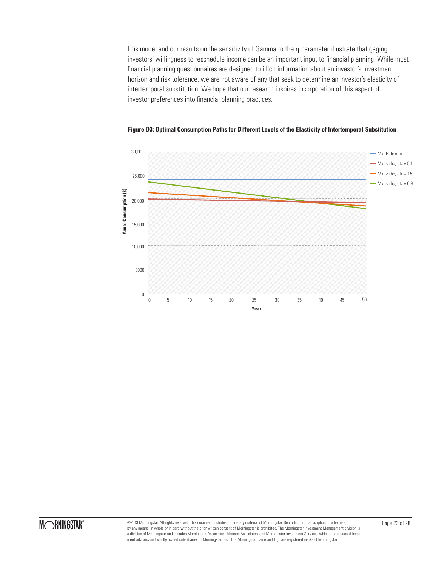This model and our results on the sensitivity of Gamma to the η parameter illustrate that gaging investors' willingness to reschedule income can be an important input to financial planning. While most financial planning questionnaires are designed to illicit information about an investor's investment horizon and risk tolerance, we are not aware of any that seek to determine an investor's elasticity of intertemporal substitution. We hope that our research inspires incorporation of this aspect of investor preferences into financial planning practices.



**Figure D3: Optimal Consumption Paths for Different Levels of the Elasticity of Intertemporal Substitution**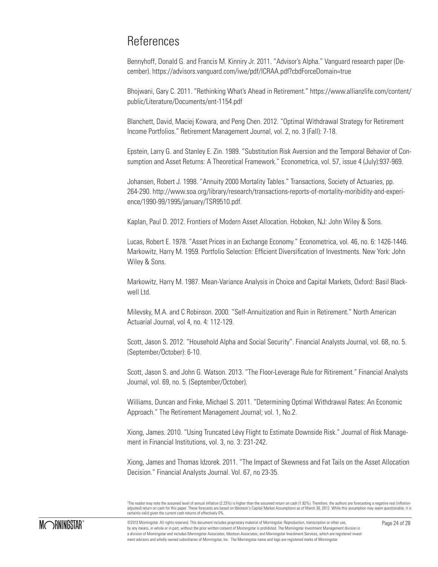## **References**

Bennyhoff, Donald G. and Francis M. Kinniry Jr. 2011. "Advisor's Alpha." Vanguard research paper (December). https://advisors.vanguard.com/iwe/pdf/ICRAA.pdf?cbdForceDomain=true

Bhojwani, Gary C. 2011. "Rethinking What's Ahead in Retirement." https://www.allianzlife.com/content/ public/Literature/Documents/ent-1154.pdf

Blanchett, David, Maciej Kowara, and Peng Chen. 2012. "Optimal Withdrawal Strategy for Retirement Income Portfolios." Retirement Management Journal, vol. 2, no. 3 (Fall): 7-18.

Epstein, Larry G. and Stanley E. Zin. 1989. "Substitution Risk Aversion and the Temporal Behavior of Consumption and Asset Returns: A Theoretical Framework." Econometrica, vol. 57, issue 4 (July):937-969.

Johansen, Robert J. 1998. "Annuity 2000 Mortality Tables." Transactions, Society of Actuaries, pp. 264-290. http://www.soa.org/library/research/transactions-reports-of-mortality-moribidity-and-experience/1990-99/1995/january/TSR9510.pdf.

Kaplan, Paul D. 2012. Frontiers of Modern Asset Allocation. Hoboken, NJ: John Wiley & Sons.

Lucas, Robert E. 1978. "Asset Prices in an Exchange Economy." Econometrica, vol. 46, no. 6: 1426-1446. Markowitz, Harry M. 1959. Portfolio Selection: Efficient Diversification of Investments. New York: John Wiley & Sons.

Markowitz, Harry M. 1987. Mean-Variance Analysis in Choice and Capital Markets, Oxford: Basil Blackwell Ltd.

Milevsky, M.A. and C Robinson. 2000. "Self-Annuitization and Ruin in Retirement." North American Actuarial Journal, vol 4, no. 4: 112-129.

Scott, Jason S. 2012. "Household Alpha and Social Security". Financial Analysts Journal, vol. 68, no. 5. (September/October): 6-10.

Scott, Jason S. and John G. Watson. 2013. "The Floor-Leverage Rule for Ritirement." Financial Analysts Journal, vol. 69, no. 5. (September/October).

Williams, Duncan and Finke, Michael S. 2011. "Determining Optimal Withdrawal Rates: An Economic Approach." The Retirement Management Journal; vol. 1, No.2.

Xiong, James. 2010. "Using Truncated Lévy Flight to Estimate Downside Risk." Journal of Risk Management in Financial Institutions, vol. 3, no. 3: 231-242.

Xiong, James and Thomas Idzorek. 2011. "The Impact of Skewness and Fat Tails on the Asset Allocation Decision." Financial Analysts Journal. Vol. 67, no 23-35.

3 The reader may note the assumed level of annual inflation (2.23%) is higher than the assumed return on cash (1.92%). Therefore, the authors are forecasting a negative real (inflationadjusted) return on cash for this paper. These forecasts are based on Ibbotson's Capital Market Assumptions as of March 30, 2012. While this assumption may seem questionable, it is certainly valid given the current cash returns of effectively 0%.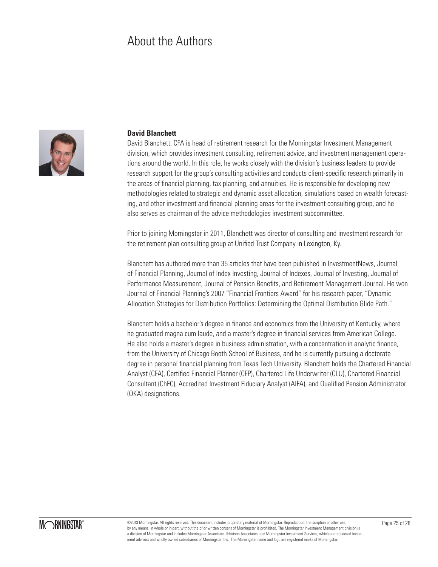## About the Authors



### **David Blanchett**

David Blanchett, CFA is head of retirement research for the Morningstar Investment Management division, which provides investment consulting, retirement advice, and investment management operations around the world. In this role, he works closely with the division's business leaders to provide research support for the group's consulting activities and conducts client-specific research primarily in the areas of financial planning, tax planning, and annuities. He is responsible for developing new methodologies related to strategic and dynamic asset allocation, simulations based on wealth forecasting, and other investment and financial planning areas for the investment consulting group, and he also serves as chairman of the advice methodologies investment subcommittee.

Prior to joining Morningstar in 2011, Blanchett was director of consulting and investment research for the retirement plan consulting group at Unified Trust Company in Lexington, Ky.

Blanchett has authored more than 35 articles that have been published in InvestmentNews, Journal of Financial Planning, Journal of Index Investing, Journal of Indexes, Journal of Investing, Journal of Performance Measurement, Journal of Pension Benefits, and Retirement Management Journal. He won Journal of Financial Planning's 2007 "Financial Frontiers Award" for his research paper, "Dynamic Allocation Strategies for Distribution Portfolios: Determining the Optimal Distribution Glide Path."

Blanchett holds a bachelor's degree in finance and economics from the University of Kentucky, where he graduated magna cum laude, and a master's degree in financial services from American College. He also holds a master's degree in business administration, with a concentration in analytic finance, from the University of Chicago Booth School of Business, and he is currently pursuing a doctorate degree in personal financial planning from Texas Tech University. Blanchett holds the Chartered Financial Analyst (CFA), Certified Financial Planner (CFP), Chartered Life Underwriter (CLU), Chartered Financial Consultant (ChFC), Accredited Investment Fiduciary Analyst (AIFA), and Qualified Pension Administrator (QKA) designations.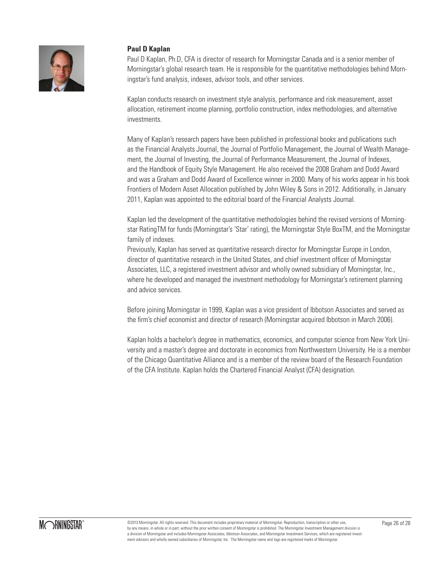

## **Paul D Kaplan**

Paul D Kaplan, Ph.D, CFA is director of research for Morningstar Canada and is a senior member of Morningstar's global research team. He is responsible for the quantitative methodologies behind Morningstar's fund analysis, indexes, advisor tools, and other services.

Kaplan conducts research on investment style analysis, performance and risk measurement, asset allocation, retirement income planning, portfolio construction, index methodologies, and alternative investments.

Many of Kaplan's research papers have been published in professional books and publications such as the Financial Analysts Journal, the Journal of Portfolio Management, the Journal of Wealth Management, the Journal of Investing, the Journal of Performance Measurement, the Journal of Indexes, and the Handbook of Equity Style Management. He also received the 2008 Graham and Dodd Award and was a Graham and Dodd Award of Excellence winner in 2000. Many of his works appear in his book Frontiers of Modern Asset Allocation published by John Wiley & Sons in 2012. Additionally, in January 2011, Kaplan was appointed to the editorial board of the Financial Analysts Journal.

Kaplan led the development of the quantitative methodologies behind the revised versions of Morningstar RatingTM for funds (Morningstar's 'Star' rating), the Morningstar Style BoxTM, and the Morningstar family of indexes.

Previously, Kaplan has served as quantitative research director for Morningstar Europe in London, director of quantitative research in the United States, and chief investment officer of Morningstar Associates, LLC, a registered investment advisor and wholly owned subsidiary of Morningstar, Inc., where he developed and managed the investment methodology for Morningstar's retirement planning and advice services.

Before joining Morningstar in 1999, Kaplan was a vice president of Ibbotson Associates and served as the firm's chief economist and director of research (Morningstar acquired Ibbotson in March 2006).

Kaplan holds a bachelor's degree in mathematics, economics, and computer science from New York University and a master's degree and doctorate in economics from Northwestern University. He is a member of the Chicago Quantitative Alliance and is a member of the review board of the Research Foundation of the CFA Institute. Kaplan holds the Chartered Financial Analyst (CFA) designation.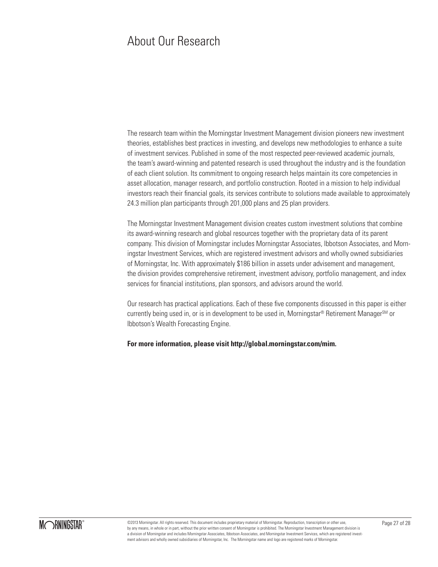## About Our Research

The research team within the Morningstar Investment Management division pioneers new investment theories, establishes best practices in investing, and develops new methodologies to enhance a suite of investment services. Published in some of the most respected peer-reviewed academic journals, the team's award-winning and patented research is used throughout the industry and is the foundation of each client solution. Its commitment to ongoing research helps maintain its core competencies in asset allocation, manager research, and portfolio construction. Rooted in a mission to help individual investors reach their financial goals, its services contribute to solutions made available to approximately 24.3 million plan participants through 201,000 plans and 25 plan providers.

The Morningstar Investment Management division creates custom investment solutions that combine its award-winning research and global resources together with the proprietary data of its parent company. This division of Morningstar includes Morningstar Associates, Ibbotson Associates, and Morningstar Investment Services, which are registered investment advisors and wholly owned subsidiaries of Morningstar, Inc. With approximately \$186 billion in assets under advisement and management, the division provides comprehensive retirement, investment advisory, portfolio management, and index services for financial institutions, plan sponsors, and advisors around the world.

Our research has practical applications. Each of these five components discussed in this paper is either currently being used in, or is in development to be used in, Morningstar® Retirement Manager<sup>SM</sup> or Ibbotson's Wealth Forecasting Engine.

**For more information, please visit http://global.morningstar.com/mim.**